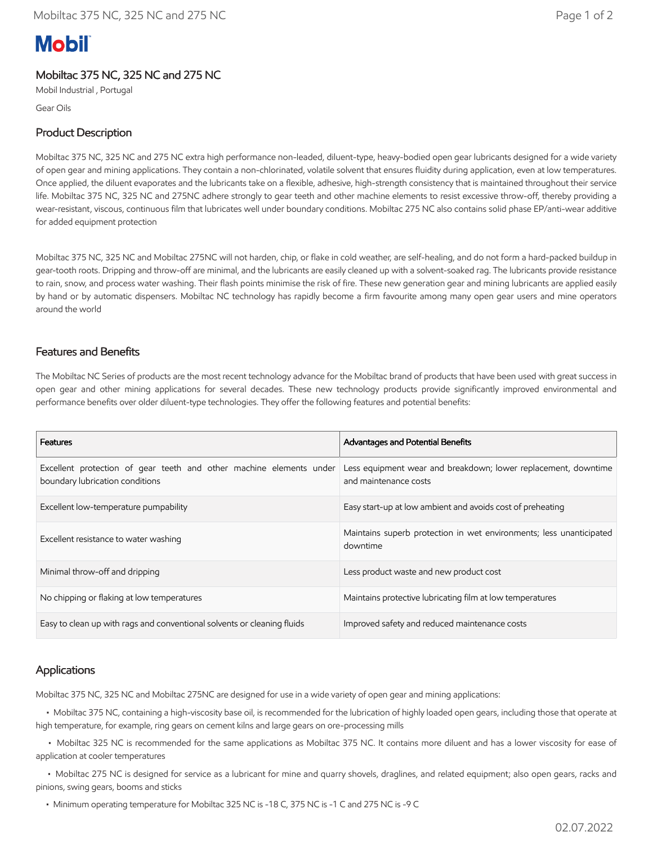# **Mobil**

## Mobiltac 375 NC, 325 NC and 275 NC

Mobil Industrial , Portugal

Gear Oils

## Product Description

Mobiltac 375 NC, 325 NC and 275 NC extra high performance non-leaded, diluent-type, heavy-bodied open gear lubricants designed for a wide variety of open gear and mining applications. They contain a non-chlorinated, volatile solvent that ensures fluidity during application, even at low temperatures. Once applied, the diluent evaporates and the lubricants take on a flexible, adhesive, high-strength consistency that is maintained throughout their service life. Mobiltac 375 NC, 325 NC and 275NC adhere strongly to gear teeth and other machine elements to resist excessive throw-off, thereby providing a wear-resistant, viscous, continuous film that lubricates well under boundary conditions. Mobiltac 275 NC also contains solid phase EP/anti-wear additive for added equipment protection

Mobiltac 375 NC, 325 NC and Mobiltac 275NC will not harden, chip, or flake in cold weather, are self-healing, and do not form a hard-packed buildup in gear-tooth roots. Dripping and throw-off are minimal, and the lubricants are easily cleaned up with a solvent-soaked rag. The lubricants provide resistance to rain, snow, and process water washing. Their flash points minimise the risk of fire. These new generation gear and mining lubricants are applied easily by hand or by automatic dispensers. Mobiltac NC technology has rapidly become a firm favourite among many open gear users and mine operators around the world

#### Features and Benefits

The Mobiltac NC Series of products are the most recent technology advance for the Mobiltac brand of products that have been used with great success in open gear and other mining applications for several decades. These new technology products provide significantly improved environmental and performance benefits over older diluent-type technologies. They offer the following features and potential benefits:

| Features                                                                                               | Advantages and Potential Benefits                                                       |
|--------------------------------------------------------------------------------------------------------|-----------------------------------------------------------------------------------------|
| Excellent protection of gear teeth and other machine elements under<br>boundary lubrication conditions | Less equipment wear and breakdown; lower replacement, downtime<br>and maintenance costs |
| Excellent low-temperature pumpability                                                                  | Easy start-up at low ambient and avoids cost of preheating                              |
| Excellent resistance to water washing                                                                  | Maintains superb protection in wet environments; less unanticipated<br>downtime         |
| Minimal throw-off and dripping                                                                         | Less product waste and new product cost                                                 |
| No chipping or flaking at low temperatures                                                             | Maintains protective lubricating film at low temperatures                               |
| Easy to clean up with rags and conventional solvents or cleaning fluids                                | Improved safety and reduced maintenance costs                                           |

#### Applications

Mobiltac 375 NC, 325 NC and Mobiltac 275NC are designed for use in a wide variety of open gear and mining applications:

 • Mobiltac 375 NC, containing a high-viscosity base oil, is recommended for the lubrication of highly loaded open gears, including those that operate at high temperature, for example, ring gears on cement kilns and large gears on ore-processing mills

 • Mobiltac 325 NC is recommended for the same applications as Mobiltac 375 NC. It contains more diluent and has a lower viscosity for ease of application at cooler temperatures

 • Mobiltac 275 NC is designed for service as a lubricant for mine and quarry shovels, draglines, and related equipment; also open gears, racks and pinions, swing gears, booms and sticks

• Minimum operating temperature for Mobiltac 325 NC is -18 C, 375 NC is -1 C and 275 NC is -9 C